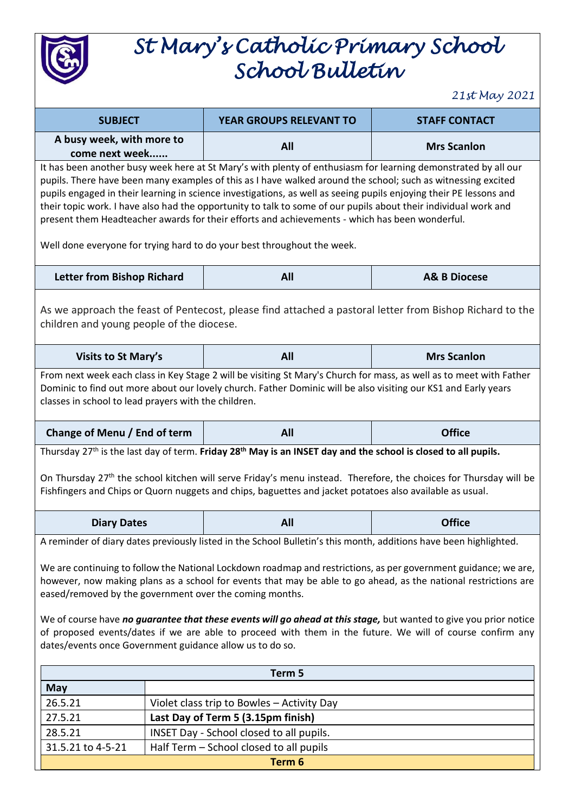

## *St Mary's Catholic Primary School School Bulletin*

*21st May 2021*

| <b>SUBJECT</b>                                                                                                                                                                                                                                                                                                                                                                                                                                                                                                                                                                                                                                       |                                                                                     | YEAR GROUPS RELEVANT TO | <b>STAFF CONTACT</b>    |  |  |
|------------------------------------------------------------------------------------------------------------------------------------------------------------------------------------------------------------------------------------------------------------------------------------------------------------------------------------------------------------------------------------------------------------------------------------------------------------------------------------------------------------------------------------------------------------------------------------------------------------------------------------------------------|-------------------------------------------------------------------------------------|-------------------------|-------------------------|--|--|
| A busy week, with more to<br>come next week                                                                                                                                                                                                                                                                                                                                                                                                                                                                                                                                                                                                          |                                                                                     | All                     | <b>Mrs Scanlon</b>      |  |  |
| It has been another busy week here at St Mary's with plenty of enthusiasm for learning demonstrated by all our<br>pupils. There have been many examples of this as I have walked around the school; such as witnessing excited<br>pupils engaged in their learning in science investigations, as well as seeing pupils enjoying their PE lessons and<br>their topic work. I have also had the opportunity to talk to some of our pupils about their individual work and<br>present them Headteacher awards for their efforts and achievements - which has been wonderful.<br>Well done everyone for trying hard to do your best throughout the week. |                                                                                     |                         |                         |  |  |
| <b>Letter from Bishop Richard</b>                                                                                                                                                                                                                                                                                                                                                                                                                                                                                                                                                                                                                    |                                                                                     | All                     | <b>A&amp; B Diocese</b> |  |  |
| As we approach the feast of Pentecost, please find attached a pastoral letter from Bishop Richard to the<br>children and young people of the diocese.                                                                                                                                                                                                                                                                                                                                                                                                                                                                                                |                                                                                     |                         |                         |  |  |
| <b>Visits to St Mary's</b>                                                                                                                                                                                                                                                                                                                                                                                                                                                                                                                                                                                                                           |                                                                                     | All                     | <b>Mrs Scanlon</b>      |  |  |
| From next week each class in Key Stage 2 will be visiting St Mary's Church for mass, as well as to meet with Father<br>Dominic to find out more about our lovely church. Father Dominic will be also visiting our KS1 and Early years<br>classes in school to lead prayers with the children.                                                                                                                                                                                                                                                                                                                                                        |                                                                                     |                         |                         |  |  |
| Change of Menu / End of term                                                                                                                                                                                                                                                                                                                                                                                                                                                                                                                                                                                                                         |                                                                                     | All                     | <b>Office</b>           |  |  |
| Thursday 27 <sup>th</sup> is the last day of term. Friday 28 <sup>th</sup> May is an INSET day and the school is closed to all pupils.<br>On Thursday 27th the school kitchen will serve Friday's menu instead. Therefore, the choices for Thursday will be<br>Fishfingers and Chips or Quorn nuggets and chips, baguettes and jacket potatoes also available as usual.                                                                                                                                                                                                                                                                              |                                                                                     |                         |                         |  |  |
| <b>Diary Dates</b>                                                                                                                                                                                                                                                                                                                                                                                                                                                                                                                                                                                                                                   |                                                                                     | All                     | <b>Office</b>           |  |  |
| A reminder of diary dates previously listed in the School Bulletin's this month, additions have been highlighted.                                                                                                                                                                                                                                                                                                                                                                                                                                                                                                                                    |                                                                                     |                         |                         |  |  |
| We are continuing to follow the National Lockdown roadmap and restrictions, as per government guidance; we are,<br>however, now making plans as a school for events that may be able to go ahead, as the national restrictions are<br>eased/removed by the government over the coming months.<br>We of course have no guarantee that these events will go ahead at this stage, but wanted to give you prior notice<br>of proposed events/dates if we are able to proceed with them in the future. We will of course confirm any                                                                                                                      |                                                                                     |                         |                         |  |  |
| dates/events once Government guidance allow us to do so.                                                                                                                                                                                                                                                                                                                                                                                                                                                                                                                                                                                             |                                                                                     |                         |                         |  |  |
| Term 5                                                                                                                                                                                                                                                                                                                                                                                                                                                                                                                                                                                                                                               |                                                                                     |                         |                         |  |  |
| <b>May</b>                                                                                                                                                                                                                                                                                                                                                                                                                                                                                                                                                                                                                                           |                                                                                     |                         |                         |  |  |
| 26.5.21                                                                                                                                                                                                                                                                                                                                                                                                                                                                                                                                                                                                                                              | Violet class trip to Bowles - Activity Day                                          |                         |                         |  |  |
| 27.5.21                                                                                                                                                                                                                                                                                                                                                                                                                                                                                                                                                                                                                                              | Last Day of Term 5 (3.15pm finish)                                                  |                         |                         |  |  |
| 28.5.21<br>31.5.21 to 4-5-21                                                                                                                                                                                                                                                                                                                                                                                                                                                                                                                                                                                                                         | INSET Day - School closed to all pupils.<br>Half Term - School closed to all pupils |                         |                         |  |  |
| Term 6                                                                                                                                                                                                                                                                                                                                                                                                                                                                                                                                                                                                                                               |                                                                                     |                         |                         |  |  |
|                                                                                                                                                                                                                                                                                                                                                                                                                                                                                                                                                                                                                                                      |                                                                                     |                         |                         |  |  |